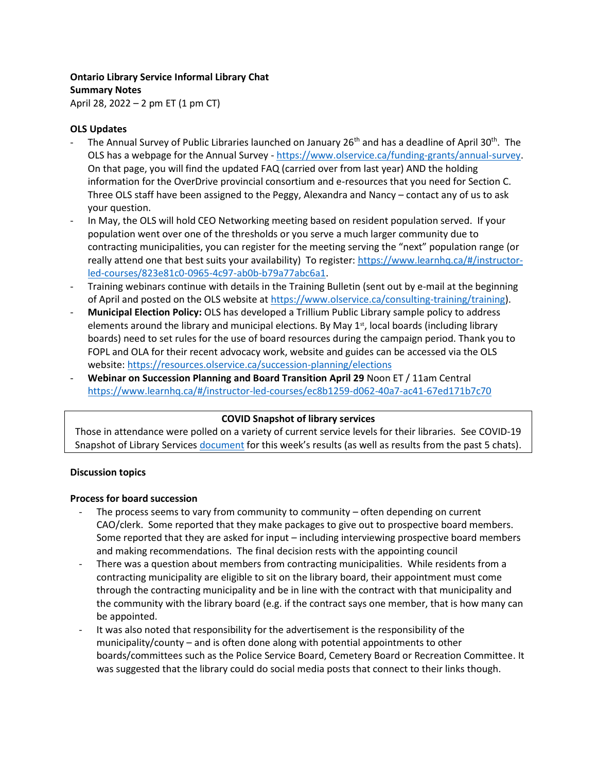### **Ontario Library Service Informal Library Chat Summary Notes**

April 28, 2022 – 2 pm ET (1 pm CT)

# **OLS Updates**

- The Annual Survey of Public Libraries launched on January 26<sup>th</sup> and has a deadline of April 30<sup>th</sup>. The OLS has a webpage for the Annual Survey - [https://www.olservice.ca/funding-grants/annual-survey.](https://www.olservice.ca/funding-grants/annual-survey) On that page, you will find the updated FAQ (carried over from last year) AND the holding information for the OverDrive provincial consortium and e-resources that you need for Section C. Three OLS staff have been assigned to the Peggy, Alexandra and Nancy – contact any of us to ask your question.
- In May, the OLS will hold CEO Networking meeting based on resident population served. If your population went over one of the thresholds or you serve a much larger community due to contracting municipalities, you can register for the meeting serving the "next" population range (or really attend one that best suits your availability) To register: [https://www.learnhq.ca/#/instructor](https://www.learnhq.ca/#/instructor-led-courses/823e81c0-0965-4c97-ab0b-b79a77abc6a1)[led-courses/823e81c0-0965-4c97-ab0b-b79a77abc6a1.](https://www.learnhq.ca/#/instructor-led-courses/823e81c0-0965-4c97-ab0b-b79a77abc6a1)
- Training webinars continue with details in the Training Bulletin (sent out by e-mail at the beginning of April and posted on the OLS website at [https://www.olservice.ca/consulting-training/training\)](https://www.olservice.ca/consulting-training/training).
- **Municipal Election Policy:** OLS has developed a Trillium Public Library sample policy to address elements around the library and municipal elections. By May  $1<sup>st</sup>$ , local boards (including library boards) need to set rules for the use of board resources during the campaign period. Thank you to FOPL and OLA for their recent advocacy work, website and guides can be accessed via the OLS website[: https://resources.olservice.ca/succession-planning/elections](https://resources.olservice.ca/succession-planning/elections)
- **Webinar on Succession Planning and Board Transition April 29** Noon ET / 11am Central <https://www.learnhq.ca/#/instructor-led-courses/ec8b1259-d062-40a7-ac41-67ed171b7c70>

## **COVID Snapshot of library services**

Those in attendance were polled on a variety of current service levels for their libraries. See COVID-19 Snapshot of Library Services [document](https://olservice.sharepoint.com/:x:/t/ConsultingMeetings/EVb1lz_ndeZAh4bpU7lrPOQBZgXHFdGPJ1QGKl4Jb_i1QQ?e=RxDCqh) for this week's results (as well as results from the past 5 chats).

## **Discussion topics**

## **Process for board succession**

- The process seems to vary from community to community  $-$  often depending on current CAO/clerk. Some reported that they make packages to give out to prospective board members. Some reported that they are asked for input – including interviewing prospective board members and making recommendations. The final decision rests with the appointing council
- There was a question about members from contracting municipalities. While residents from a contracting municipality are eligible to sit on the library board, their appointment must come through the contracting municipality and be in line with the contract with that municipality and the community with the library board (e.g. if the contract says one member, that is how many can be appointed.
- It was also noted that responsibility for the advertisement is the responsibility of the municipality/county – and is often done along with potential appointments to other boards/committees such as the Police Service Board, Cemetery Board or Recreation Committee. It was suggested that the library could do social media posts that connect to their links though.